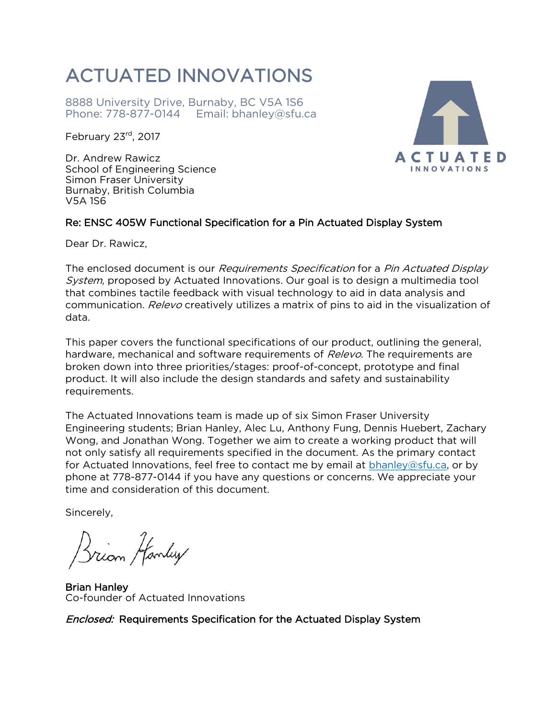8888 University Drive, Burnaby, BC V5A 1S6 Phone: 778-877-0144 Email: bhanley@sfu.ca

February 23rd, 2017

Dr. Andrew Rawicz School of Engineering Science Simon Fraser University Burnaby, British Columbia V5A 1S6



#### Re: ENSC 405W Functional Specification for a Pin Actuated Display System

Dear Dr. Rawicz,

The enclosed document is our *Requirements Specification* for a *Pin Actuated Display* System, proposed by Actuated Innovations. Our goal is to design a multimedia tool that combines tactile feedback with visual technology to aid in data analysis and communication. Relevo creatively utilizes a matrix of pins to aid in the visualization of data.

This paper covers the functional specifications of our product, outlining the general, hardware, mechanical and software requirements of Relevo. The requirements are broken down into three priorities/stages: proof-of-concept, prototype and final product. It will also include the design standards and safety and sustainability requirements.

The Actuated Innovations team is made up of six Simon Fraser University Engineering students; Brian Hanley, Alec Lu, Anthony Fung, Dennis Huebert, Zachary Wong, and Jonathan Wong. Together we aim to create a working product that will not only satisfy all requirements specified in the document. As the primary contact for Actuated Innovations, feel free to contact me by email at [bhanley@sfu.ca,](mailto:bhanley@sfu.ca) or by phone at 778-877-0144 if you have any questions or concerns. We appreciate your time and consideration of this document.

Sincerely,

Drian Hanley

Brian Hanley Co-founder of Actuated Innovations

Enclosed: Requirements Specification for the Actuated Display System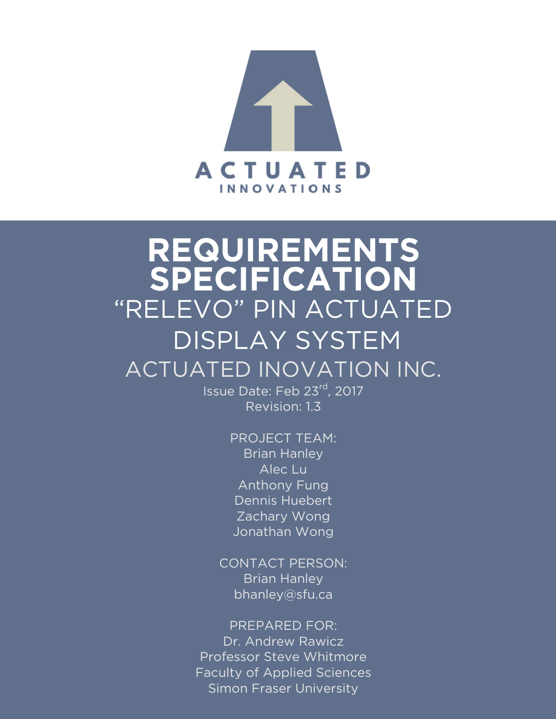

# REQUIREMENTS SPECIFICATION "RELEVO" PIN ACTUATED DISPLAY SYSTEM ACTUATED INOVATION INC.

Issue Date: Feb 23rd, 2017 Revision: 1.3

- PROJECT TEAM: Brian Hanley Alec Lu Anthony Fung Dennis Huebert Zachary Wong Jonathan Wong
- CONTACT PERSON: **Brian Hanley** bhanley@sfu.ca

PREPARED FOR: Dr. Andrew Rawicz Professor Steve Whitmore Faculty of Applied Sciences Simon Fraser University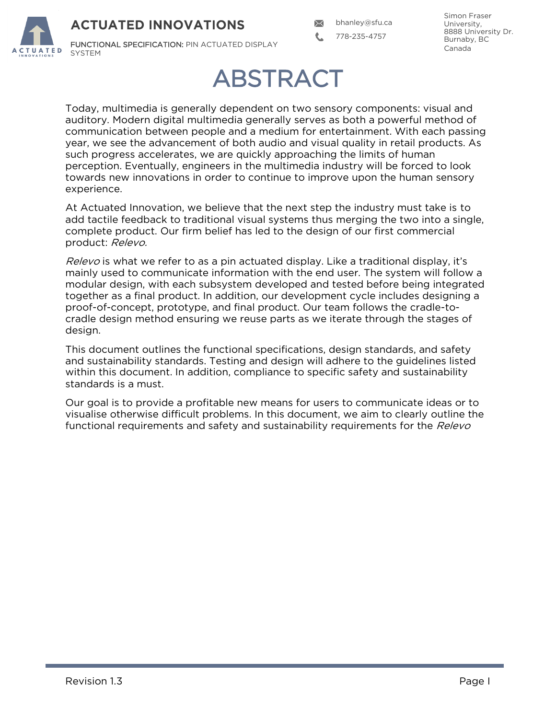FUNCTIONAL SPECIFICATION: PIN ACTUATED DISPLAY SYSTEM

 $\boldsymbol{\times}$ bhanley@sfu.ca 778-235-4757

Simon Fraser University, 8888 University Dr. Burnaby, BC Canada

## ABSTRACT

Today, multimedia is generally dependent on two sensory components: visual and auditory. Modern digital multimedia generally serves as both a powerful method of communication between people and a medium for entertainment. With each passing year, we see the advancement of both audio and visual quality in retail products. As such progress accelerates, we are quickly approaching the limits of human perception. Eventually, engineers in the multimedia industry will be forced to look towards new innovations in order to continue to improve upon the human sensory experience.

At Actuated Innovation, we believe that the next step the industry must take is to add tactile feedback to traditional visual systems thus merging the two into a single, complete product. Our firm belief has led to the design of our first commercial product: Relevo.

Relevo is what we refer to as a pin actuated display. Like a traditional display, it's mainly used to communicate information with the end user. The system will follow a modular design, with each subsystem developed and tested before being integrated together as a final product. In addition, our development cycle includes designing a proof-of-concept, prototype, and final product. Our team follows the cradle-tocradle design method ensuring we reuse parts as we iterate through the stages of design.

This document outlines the functional specifications, design standards, and safety and sustainability standards. Testing and design will adhere to the guidelines listed within this document. In addition, compliance to specific safety and sustainability standards is a must.

Our goal is to provide a profitable new means for users to communicate ideas or to visualise otherwise difficult problems. In this document, we aim to clearly outline the functional requirements and safety and sustainability requirements for the Relevo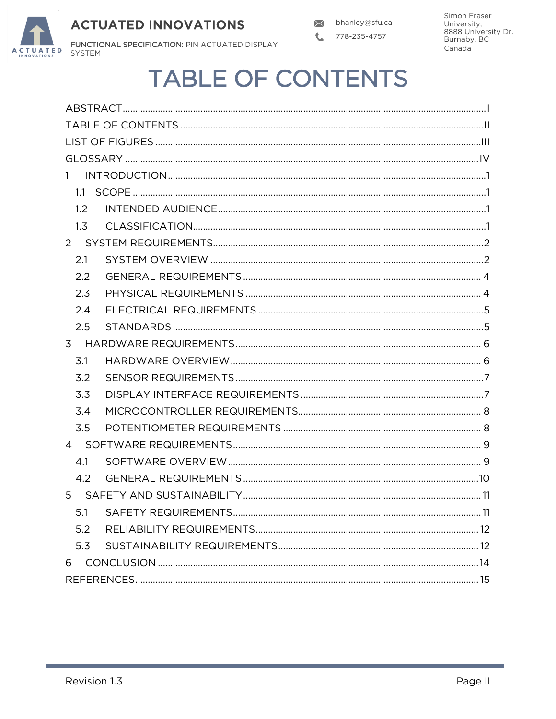

## **TABLE OF CONTENTS**

| 1     |  |
|-------|--|
| 1.1   |  |
| 1.2   |  |
| 1.3   |  |
|       |  |
| 2.1   |  |
| 2.2   |  |
| 2.3   |  |
| 2.4   |  |
| 2.5   |  |
|       |  |
| 3.1   |  |
| 3.2   |  |
| 3.3   |  |
| 3.4   |  |
| 3.5   |  |
|       |  |
| 4.1   |  |
| 4.2   |  |
| $5 -$ |  |
|       |  |
| 5.2   |  |
| 5.3   |  |
| 6     |  |
|       |  |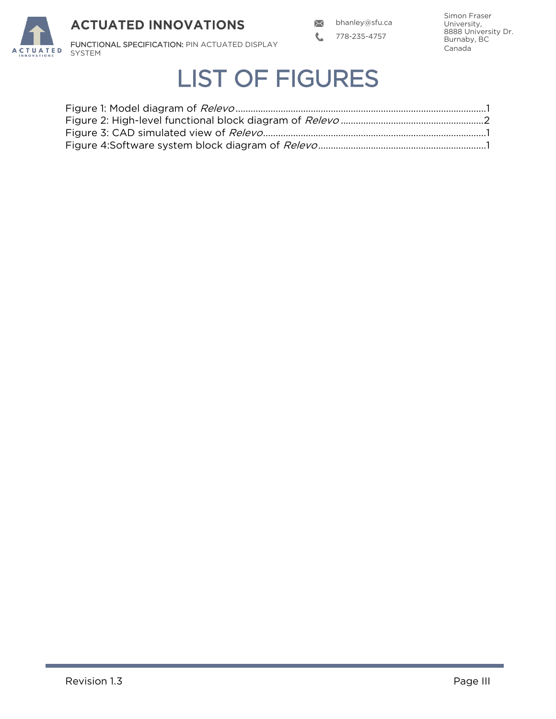

## LIST OF FIGURES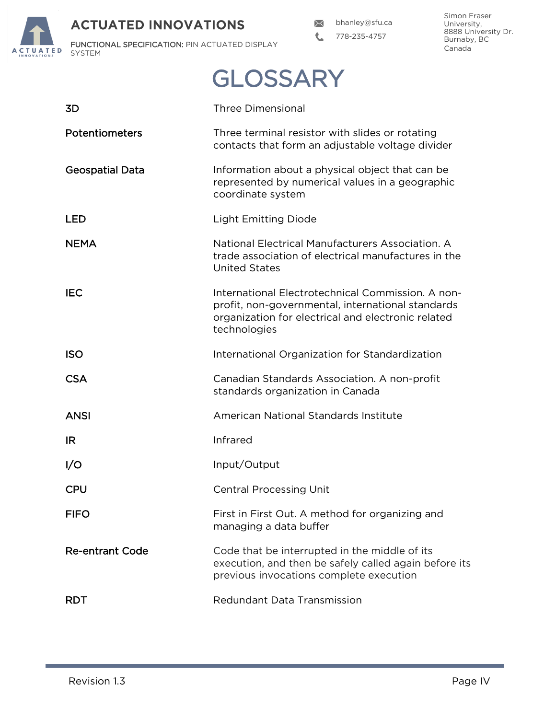bhanley@sfu.ca  $\mathbf{C}$ 778-235-4757

Simon Fraser University, 8888 University Dr. Burnaby, BC Canada

FUNCTIONAL SPECIFICATION: PIN ACTUATED DISPLAY **ACTUATED** SYSTEM

**GLOSSARY** 

| 3D                     | <b>Three Dimensional</b>                                                                                                                                                     |
|------------------------|------------------------------------------------------------------------------------------------------------------------------------------------------------------------------|
| Potentiometers         | Three terminal resistor with slides or rotating<br>contacts that form an adjustable voltage divider                                                                          |
| <b>Geospatial Data</b> | Information about a physical object that can be<br>represented by numerical values in a geographic<br>coordinate system                                                      |
| LED                    | <b>Light Emitting Diode</b>                                                                                                                                                  |
| <b>NEMA</b>            | National Electrical Manufacturers Association, A<br>trade association of electrical manufactures in the<br><b>United States</b>                                              |
| <b>IEC</b>             | International Electrotechnical Commission. A non-<br>profit, non-governmental, international standards<br>organization for electrical and electronic related<br>technologies |
| <b>ISO</b>             | International Organization for Standardization                                                                                                                               |
| <b>CSA</b>             | Canadian Standards Association. A non-profit<br>standards organization in Canada                                                                                             |
| <b>ANSI</b>            | American National Standards Institute                                                                                                                                        |
| IR.                    | Infrared                                                                                                                                                                     |
| 1/O                    | Input/Output                                                                                                                                                                 |
| <b>CPU</b>             | <b>Central Processing Unit</b>                                                                                                                                               |
| <b>FIFO</b>            | First in First Out. A method for organizing and<br>managing a data buffer                                                                                                    |
| <b>Re-entrant Code</b> | Code that be interrupted in the middle of its<br>execution, and then be safely called again before its<br>previous invocations complete execution                            |
| <b>RDT</b>             | Redundant Data Transmission                                                                                                                                                  |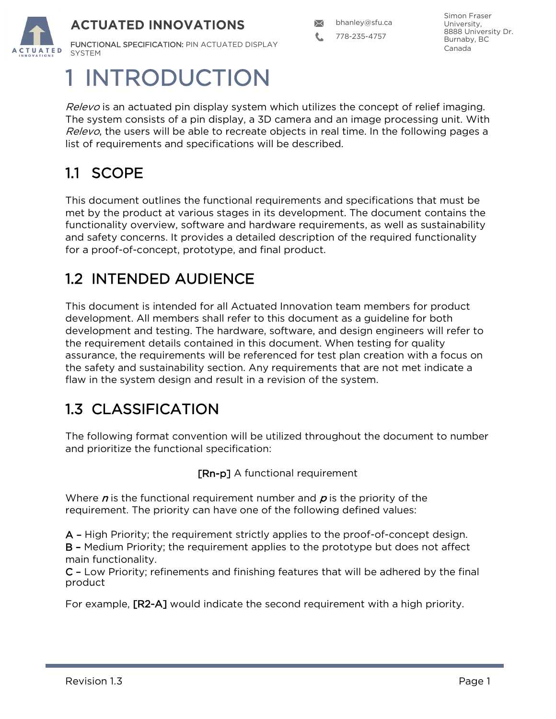FUNCTIONAL SPECIFICATION: PIN ACTUATED DISPLAY **SYSTEM** 

1 INTRODUCTION

Relevo is an actuated pin display system which utilizes the concept of relief imaging. The system consists of a pin display, a 3D camera and an image processing unit. With Relevo, the users will be able to recreate objects in real time. In the following pages a list of requirements and specifications will be described.

## 1.1 SCOPE

This document outlines the functional requirements and specifications that must be met by the product at various stages in its development. The document contains the functionality overview, software and hardware requirements, as well as sustainability and safety concerns. It provides a detailed description of the required functionality for a proof-of-concept, prototype, and final product.

### 1.2 INTENDED AUDIENCE

This document is intended for all Actuated Innovation team members for product development. All members shall refer to this document as a guideline for both development and testing. The hardware, software, and design engineers will refer to the requirement details contained in this document. When testing for quality assurance, the requirements will be referenced for test plan creation with a focus on the safety and sustainability section. Any requirements that are not met indicate a flaw in the system design and result in a revision of the system.

## 1.3 CLASSIFICATION

The following format convention will be utilized throughout the document to number and prioritize the functional specification:

[Rn-p] A functional requirement

Where  $n$  is the functional requirement number and  $p$  is the priority of the requirement. The priority can have one of the following defined values:

A – High Priority; the requirement strictly applies to the proof-of-concept design.

B – Medium Priority; the requirement applies to the prototype but does not affect main functionality.

C – Low Priority; refinements and finishing features that will be adhered by the final product

For example, [R2-A] would indicate the second requirement with a high priority.

Simon Fraser University, 8888 University Dr. Burnaby, BC Canada

 $\boxtimes$ bhanley@sfu.ca

778-235-4757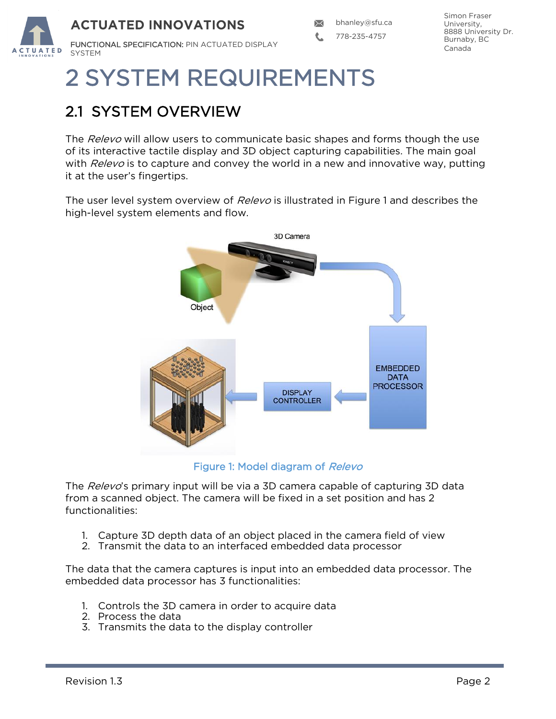

## 2 SYSTEM REQUIREMENTS

## 2.1 SYSTEM OVERVIEW

The Relevo will allow users to communicate basic shapes and forms though the use of its interactive tactile display and 3D object capturing capabilities. The main goal with  $Relevo$  is to capture and convey the world in a new and innovative way, putting it at the user's fingertips.

The user level system overview of Relevo is illustrated in Figure 1 and describes the high-level system elements and flow.



Figure 1: Model diagram of Relevo

The Relevo's primary input will be via a 3D camera capable of capturing 3D data from a scanned object. The camera will be fixed in a set position and has 2 functionalities:

- 1. Capture 3D depth data of an object placed in the camera field of view
- 2. Transmit the data to an interfaced embedded data processor

The data that the camera captures is input into an embedded data processor. The embedded data processor has 3 functionalities:

- 1. Controls the 3D camera in order to acquire data
- 2. Process the data
- 3. Transmits the data to the display controller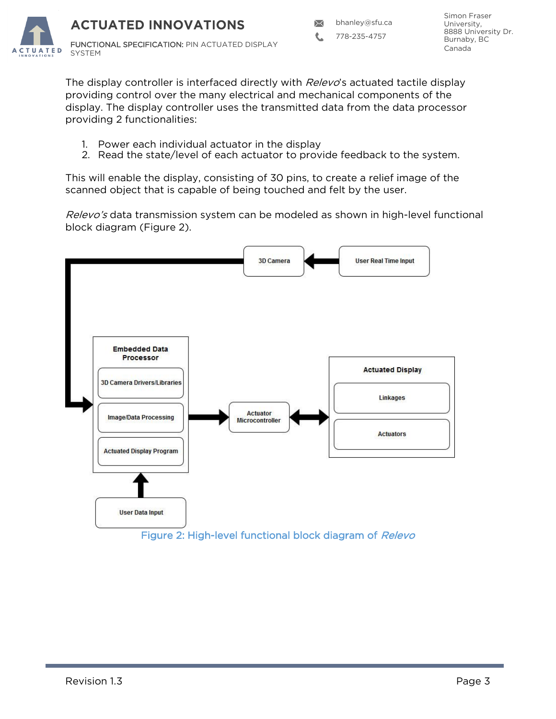778-235-4757

Simon Fraser University, 8888 University Dr. Burnaby, BC Canada

FUNCTIONAL SPECIFICATION: PIN ACTUATED DISPLAY **IUATED** SYSTEM

> The display controller is interfaced directly with *Relevo*'s actuated tactile display providing control over the many electrical and mechanical components of the display. The display controller uses the transmitted data from the data processor providing 2 functionalities:

- 1. Power each individual actuator in the display
- 2. Read the state/level of each actuator to provide feedback to the system.

This will enable the display, consisting of 30 pins, to create a relief image of the scanned object that is capable of being touched and felt by the user.

Relevo's data transmission system can be modeled as shown in high-level functional block diagram (Figure 2).

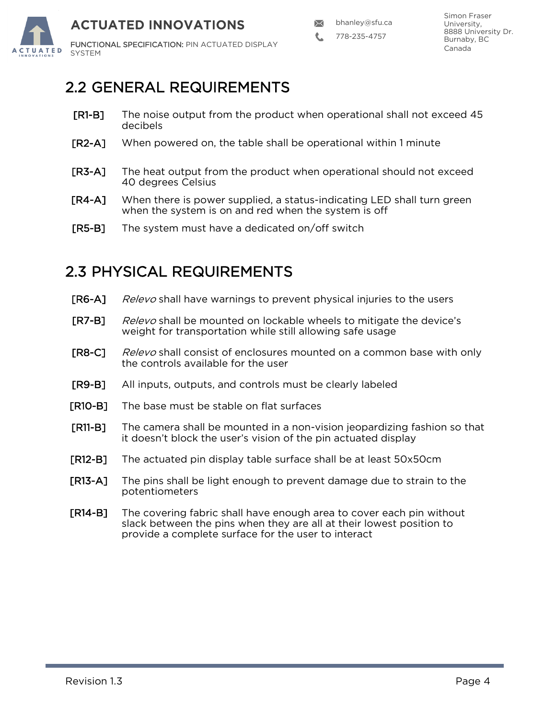

778-235-4757

### 2.2 GENERAL REQUIREMENTS

- [R1-B] The noise output from the product when operational shall not exceed 45 decibels
- [R2-A] When powered on, the table shall be operational within 1 minute
- [R3-A] The heat output from the product when operational should not exceed 40 degrees Celsius
- [R4-A] When there is power supplied, a status-indicating LED shall turn green when the system is on and red when the system is off
- [R5-B] The system must have a dedicated on/off switch

### 2.3 PHYSICAL REQUIREMENTS

- [R6-A] Relevo shall have warnings to prevent physical injuries to the users **[R7-B]** Relevo shall be mounted on lockable wheels to mitigate the device's weight for transportation while still allowing safe usage **[R8-C]** Relevo shall consist of enclosures mounted on a common base with only the controls available for the user [R9-B] All inputs, outputs, and controls must be clearly labeled [R10-B] The base must be stable on flat surfaces [R11-B] The camera shall be mounted in a non-vision jeopardizing fashion so that it doesn't block the user's vision of the pin actuated display
- [R12-B] The actuated pin display table surface shall be at least 50x50cm
- [R13-A] The pins shall be light enough to prevent damage due to strain to the potentiometers
- [R14-B] The covering fabric shall have enough area to cover each pin without slack between the pins when they are all at their lowest position to provide a complete surface for the user to interact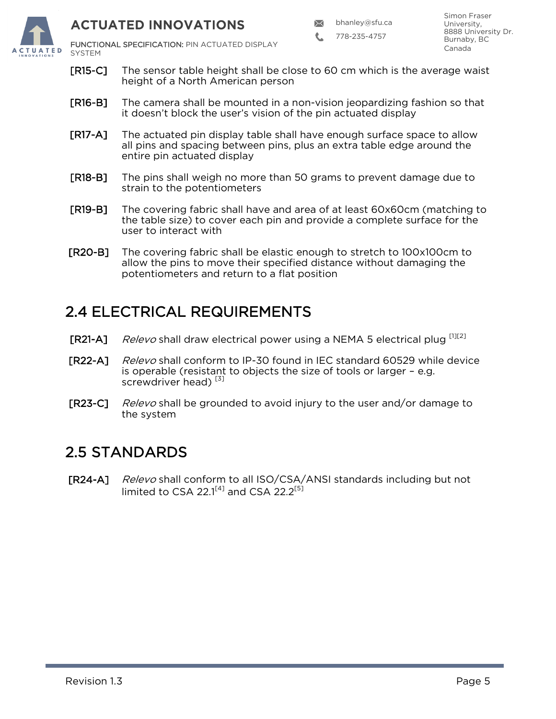

 $\boxtimes$ bhanley@sfu.ca

778-235-4757

FUNCTIONAL SPECIFICATION: PIN ACTUATED DISPLAY SYSTEM

- [R15-C] The sensor table height shall be close to 60 cm which is the average waist height of a North American person
- [R16-B] The camera shall be mounted in a non-vision jeopardizing fashion so that it doesn't block the user's vision of the pin actuated display
- [R17-A] The actuated pin display table shall have enough surface space to allow all pins and spacing between pins, plus an extra table edge around the entire pin actuated display
- **[R18-B]** The pins shall weigh no more than 50 grams to prevent damage due to strain to the potentiometers
- [R19-B] The covering fabric shall have and area of at least 60x60cm (matching to the table size) to cover each pin and provide a complete surface for the user to interact with
- [R20-B] The covering fabric shall be elastic enough to stretch to 100x100cm to allow the pins to move their specified distance without damaging the potentiometers and return to a flat position

### 2.4 ELECTRICAL REQUIREMENTS

- **[R21-A]** Relevo shall draw electrical power using a NEMA 5 electrical plug  $[1][2]$
- **[R22-A]** Relevo shall conform to IP-30 found in IEC standard 60529 while device is operable (resistant to objects the size of tools or larger – e.g. screwdriver head)<sup>[3]</sup>
- **[R23-C]** Relevo shall be grounded to avoid injury to the user and/or damage to the system

#### 2.5 STANDARDS

[R24-A] Relevo shall conform to all ISO/CSA/ANSI standards including but not limited to CSA 22.1 $^{[4]}$  and CSA 22.2 $^{[5]}$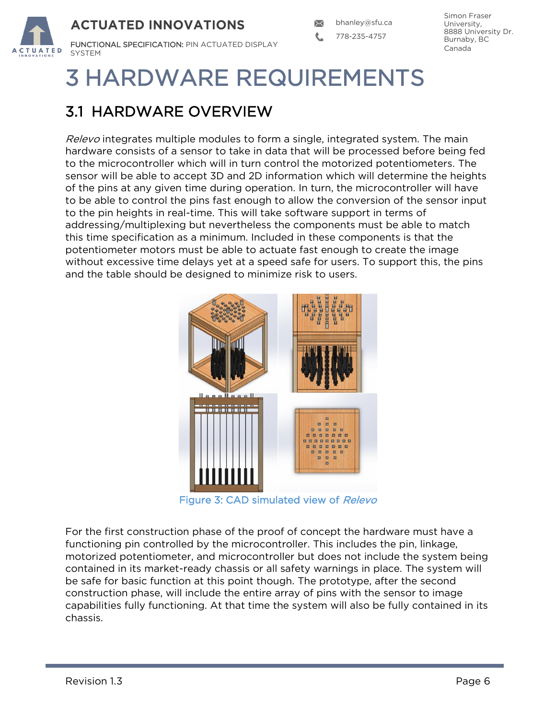

# 3 HARDWARE REQUIREMENTS

## 3.1 HARDWARE OVERVIEW

Relevo integrates multiple modules to form a single, integrated system. The main hardware consists of a sensor to take in data that will be processed before being fed to the microcontroller which will in turn control the motorized potentiometers. The sensor will be able to accept 3D and 2D information which will determine the heights of the pins at any given time during operation. In turn, the microcontroller will have to be able to control the pins fast enough to allow the conversion of the sensor input to the pin heights in real-time. This will take software support in terms of addressing/multiplexing but nevertheless the components must be able to match this time specification as a minimum. Included in these components is that the potentiometer motors must be able to actuate fast enough to create the image without excessive time delays yet at a speed safe for users. To support this, the pins and the table should be designed to minimize risk to users.



Figure 3: CAD simulated view of Relevo

For the first construction phase of the proof of concept the hardware must have a functioning pin controlled by the microcontroller. This includes the pin, linkage, motorized potentiometer, and microcontroller but does not include the system being contained in its market-ready chassis or all safety warnings in place. The system will be safe for basic function at this point though. The prototype, after the second construction phase, will include the entire array of pins with the sensor to image capabilities fully functioning. At that time the system will also be fully contained in its chassis.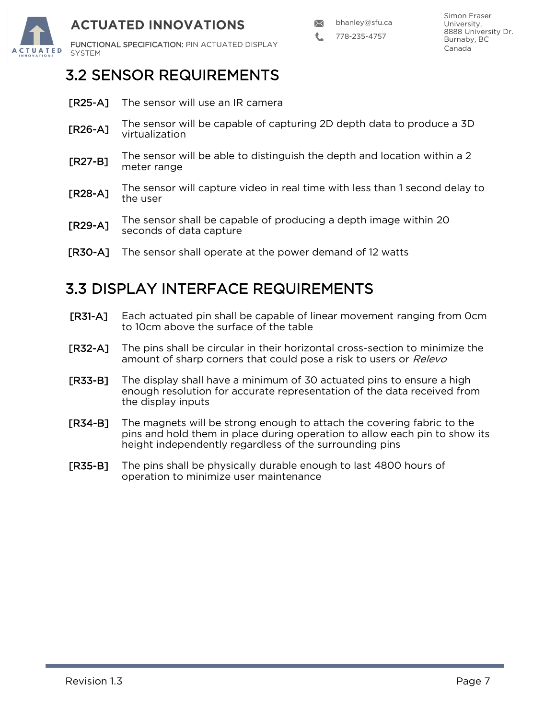

778-235-4757

### 3.2 SENSOR REQUIREMENTS

- **[R25-A]** The sensor will use an IR camera
- [R26-A] The sensor will be capable of capturing 2D depth data to produce a 3D virtualization
- [R27-B] The sensor will be able to distinguish the depth and location within a 2 meter range
- [R28-A] The sensor will capture video in real time with less than 1 second delay to the user
- [R29-A] The sensor shall be capable of producing a depth image within 20 seconds of data capture
- [R30-A] The sensor shall operate at the power demand of 12 watts

#### 3.3 DISPLAY INTERFACE REQUIREMENTS

- [R31-A] Each actuated pin shall be capable of linear movement ranging from 0cm to 10cm above the surface of the table
- [R32-A] The pins shall be circular in their horizontal cross-section to minimize the amount of sharp corners that could pose a risk to users or Relevo
- [R33-B] The display shall have a minimum of 30 actuated pins to ensure a high enough resolution for accurate representation of the data received from the display inputs
- [R34-B] The magnets will be strong enough to attach the covering fabric to the pins and hold them in place during operation to allow each pin to show its height independently regardless of the surrounding pins
- [R35-B] The pins shall be physically durable enough to last 4800 hours of operation to minimize user maintenance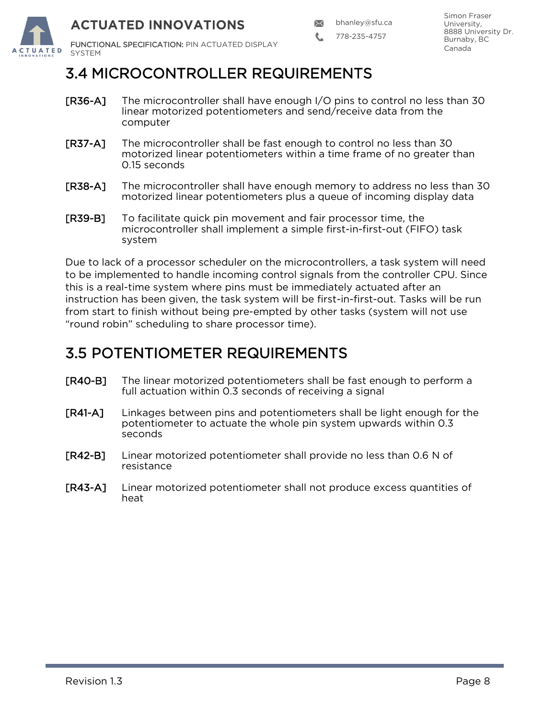

778-235-4757

### 3.4 MICROCONTROLLER REQUIREMENTS

- [R36-A] The microcontroller shall have enough I/O pins to control no less than 30 linear motorized potentiometers and send/receive data from the computer
- [R37-A] The microcontroller shall be fast enough to control no less than 30 motorized linear potentiometers within a time frame of no greater than 0.15 seconds
- [R38-A] The microcontroller shall have enough memory to address no less than 30 motorized linear potentiometers plus a queue of incoming display data
- [R39-B] To facilitate quick pin movement and fair processor time, the microcontroller shall implement a simple first-in-first-out (FIFO) task system

Due to lack of a processor scheduler on the microcontrollers, a task system will need to be implemented to handle incoming control signals from the controller CPU. Since this is a real-time system where pins must be immediately actuated after an instruction has been given, the task system will be first-in-first-out. Tasks will be run from start to finish without being pre-empted by other tasks (system will not use "round robin" scheduling to share processor time).

### 3.5 POTENTIOMETER REQUIREMENTS

- [R40-B] The linear motorized potentiometers shall be fast enough to perform a full actuation within 0.3 seconds of receiving a signal
- [R41-A] Linkages between pins and potentiometers shall be light enough for the potentiometer to actuate the whole pin system upwards within 0.3 seconds
- [R42-B] Linear motorized potentiometer shall provide no less than 0.6 N of resistance
- [R43-A] Linear motorized potentiometer shall not produce excess quantities of heat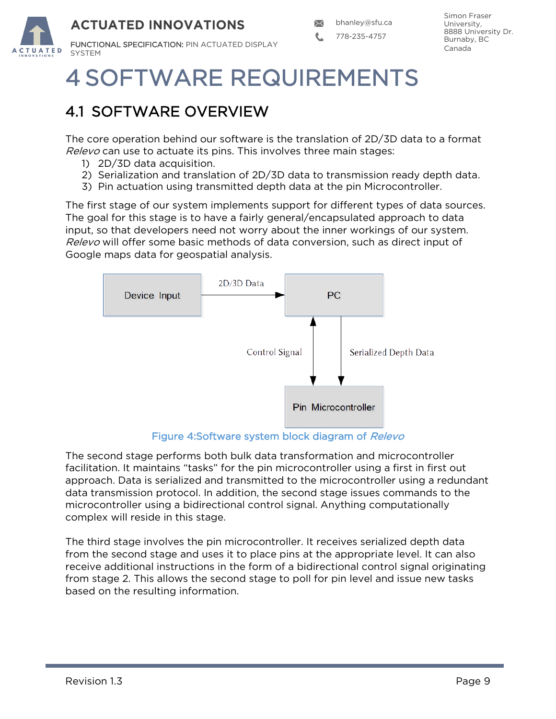

## 4 SOFTWARE REQUIREMENTS

## 4.1 SOFTWARE OVERVIEW

The core operation behind our software is the translation of 2D/3D data to a format Relevo can use to actuate its pins. This involves three main stages:

- 1) 2D/3D data acquisition.
- 2) Serialization and translation of 2D/3D data to transmission ready depth data.
- 3) Pin actuation using transmitted depth data at the pin Microcontroller.

The first stage of our system implements support for different types of data sources. The goal for this stage is to have a fairly general/encapsulated approach to data input, so that developers need not worry about the inner workings of our system. Relevo will offer some basic methods of data conversion, such as direct input of Google maps data for geospatial analysis.



Figure 4:Software system block diagram of Relevo

The second stage performs both bulk data transformation and microcontroller facilitation. It maintains "tasks" for the pin microcontroller using a first in first out approach. Data is serialized and transmitted to the microcontroller using a redundant data transmission protocol. In addition, the second stage issues commands to the microcontroller using a bidirectional control signal. Anything computationally complex will reside in this stage.

The third stage involves the pin microcontroller. It receives serialized depth data from the second stage and uses it to place pins at the appropriate level. It can also receive additional instructions in the form of a bidirectional control signal originating from stage 2. This allows the second stage to poll for pin level and issue new tasks based on the resulting information.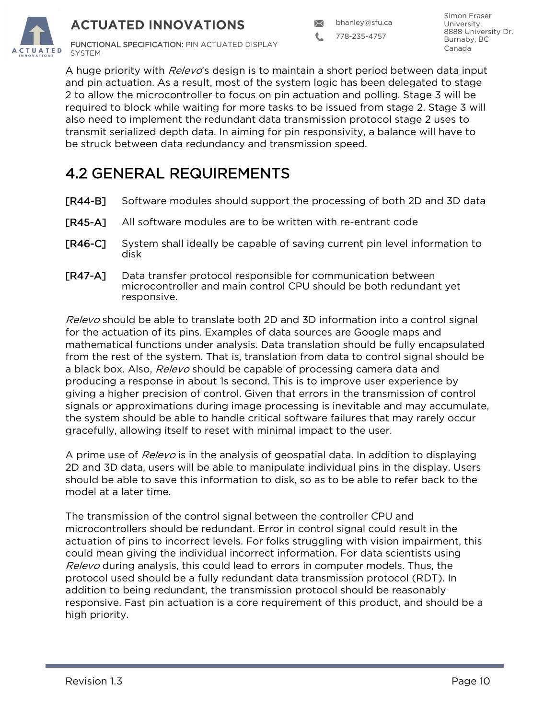$\boxtimes$ bhanley@sfu.ca

778-235-4757

Simon Fraser University, 8888 University Dr. Burnaby, BC Canada



A huge priority with *Relevo*'s design is to maintain a short period between data input and pin actuation. As a result, most of the system logic has been delegated to stage 2 to allow the microcontroller to focus on pin actuation and polling. Stage 3 will be required to block while waiting for more tasks to be issued from stage 2. Stage 3 will also need to implement the redundant data transmission protocol stage 2 uses to transmit serialized depth data. In aiming for pin responsivity, a balance will have to be struck between data redundancy and transmission speed.

### 4.2 GENERAL REQUIREMENTS

- [R44-B] Software modules should support the processing of both 2D and 3D data
- [R45-A] All software modules are to be written with re-entrant code
- [R46-C] System shall ideally be capable of saving current pin level information to disk
- [R47-A] Data transfer protocol responsible for communication between microcontroller and main control CPU should be both redundant yet responsive.

Relevo should be able to translate both 2D and 3D information into a control signal for the actuation of its pins. Examples of data sources are Google maps and mathematical functions under analysis. Data translation should be fully encapsulated from the rest of the system. That is, translation from data to control signal should be a black box. Also, Relevo should be capable of processing camera data and producing a response in about 1s second. This is to improve user experience by giving a higher precision of control. Given that errors in the transmission of control signals or approximations during image processing is inevitable and may accumulate, the system should be able to handle critical software failures that may rarely occur gracefully, allowing itself to reset with minimal impact to the user.

A prime use of *Relevo* is in the analysis of geospatial data. In addition to displaying 2D and 3D data, users will be able to manipulate individual pins in the display. Users should be able to save this information to disk, so as to be able to refer back to the model at a later time.

The transmission of the control signal between the controller CPU and microcontrollers should be redundant. Error in control signal could result in the actuation of pins to incorrect levels. For folks struggling with vision impairment, this could mean giving the individual incorrect information. For data scientists using Relevo during analysis, this could lead to errors in computer models. Thus, the protocol used should be a fully redundant data transmission protocol (RDT). In addition to being redundant, the transmission protocol should be reasonably responsive. Fast pin actuation is a core requirement of this product, and should be a high priority.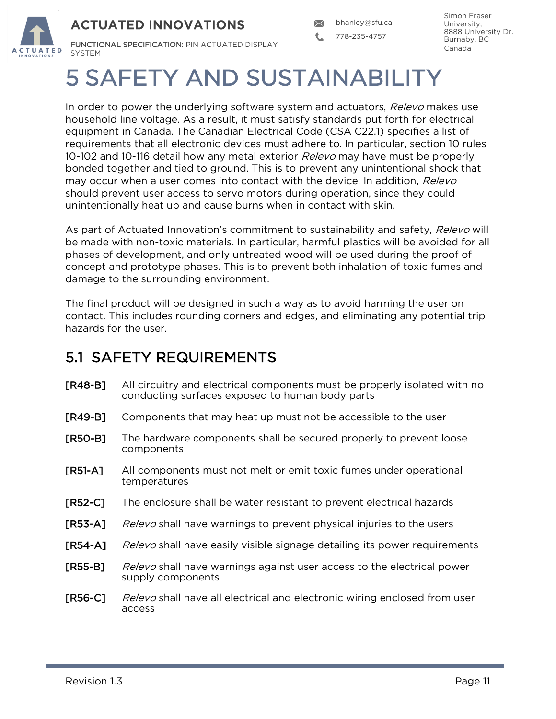

# 5 SAFETY AND SUSTAINABILITY

In order to power the underlying software system and actuators, Relevo makes use household line voltage. As a result, it must satisfy standards put forth for electrical equipment in Canada. The Canadian Electrical Code (CSA C22.1) specifies a list of requirements that all electronic devices must adhere to. In particular, section 10 rules 10-102 and 10-116 detail how any metal exterior *Relevo* may have must be properly bonded together and tied to ground. This is to prevent any unintentional shock that may occur when a user comes into contact with the device. In addition, Relevo should prevent user access to servo motors during operation, since they could unintentionally heat up and cause burns when in contact with skin.

As part of Actuated Innovation's commitment to sustainability and safety, Relevo will be made with non-toxic materials. In particular, harmful plastics will be avoided for all phases of development, and only untreated wood will be used during the proof of concept and prototype phases. This is to prevent both inhalation of toxic fumes and damage to the surrounding environment.

The final product will be designed in such a way as to avoid harming the user on contact. This includes rounding corners and edges, and eliminating any potential trip hazards for the user.

### 5.1 SAFETY REQUIREMENTS

- [R48-B] All circuitry and electrical components must be properly isolated with no conducting surfaces exposed to human body parts
- [R49-B] Components that may heat up must not be accessible to the user
- [R50-B] The hardware components shall be secured properly to prevent loose components
- [R51-A] All components must not melt or emit toxic fumes under operational temperatures
- [R52-C] The enclosure shall be water resistant to prevent electrical hazards
- [R53-A] Relevo shall have warnings to prevent physical injuries to the users
- **[R54-A]** Relevo shall have easily visible signage detailing its power requirements
- **[R55-B]** Relevo shall have warnings against user access to the electrical power supply components
- **[R56-C]** Relevo shall have all electrical and electronic wiring enclosed from user access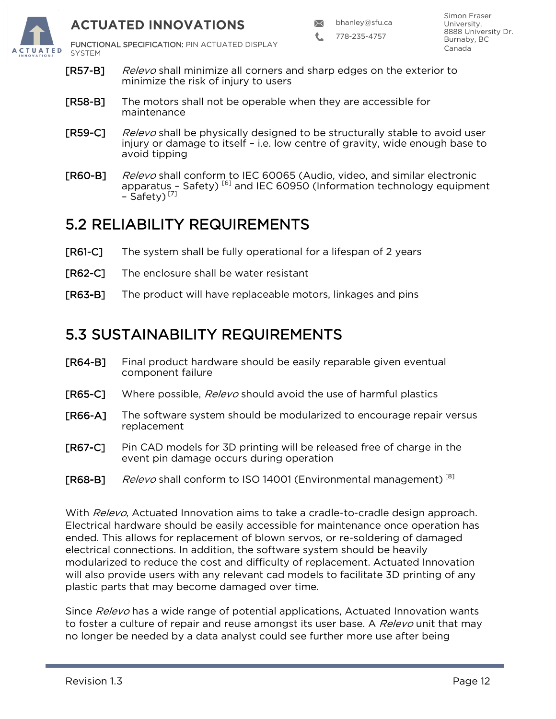

778-235-4757

FUNCTIONAL SPECIFICATION: PIN ACTUATED DISPLAY

- **[R57-B]** Relevo shall minimize all corners and sharp edges on the exterior to minimize the risk of injury to users
- [R58-B] The motors shall not be operable when they are accessible for maintenance
- **[R59-C]** Relevo shall be physically designed to be structurally stable to avoid user injury or damage to itself – i.e. low centre of gravity, wide enough base to avoid tipping
- [R60-B] Relevo shall conform to IEC 60065 (Audio, video, and similar electronic apparatus - Safety)<sup>[6]</sup> and IEC 60950 (Information technology equipment - Safety)<sup>[7]</sup>

#### 5.2 RELIABILITY REQUIREMENTS

- [R61-C] The system shall be fully operational for a lifespan of 2 years
- [R62-C] The enclosure shall be water resistant
- [R63-B] The product will have replaceable motors, linkages and pins

#### 5.3 SUSTAINABILITY REQUIREMENTS

- [R64-B] Final product hardware should be easily reparable given eventual component failure
- [R65-C] Where possible, Relevo should avoid the use of harmful plastics
- [R66-A] The software system should be modularized to encourage repair versus replacement
- [R67-C] Pin CAD models for 3D printing will be released free of charge in the event pin damage occurs during operation
- [R68-B] Relevo shall conform to ISO 14001 (Environmental management)<sup>[8]</sup>

With Relevo, Actuated Innovation aims to take a cradle-to-cradle design approach. Electrical hardware should be easily accessible for maintenance once operation has ended. This allows for replacement of blown servos, or re-soldering of damaged electrical connections. In addition, the software system should be heavily modularized to reduce the cost and difficulty of replacement. Actuated Innovation will also provide users with any relevant cad models to facilitate 3D printing of any plastic parts that may become damaged over time.

Since Relevo has a wide range of potential applications, Actuated Innovation wants to foster a culture of repair and reuse amongst its user base. A Relevo unit that may no longer be needed by a data analyst could see further more use after being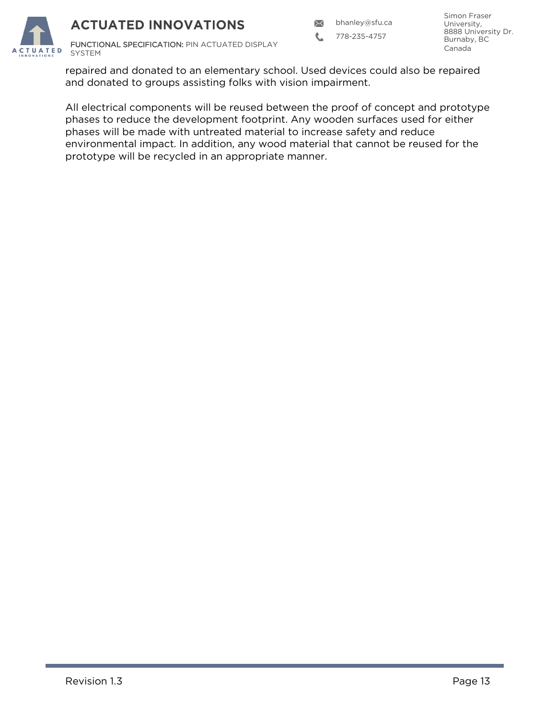$\times$ bhanley@sfu.ca

L 778-235-4757

Simon Fraser University, 8888 University Dr. Burnaby, BC Canada



repaired and donated to an elementary school. Used devices could also be repaired and donated to groups assisting folks with vision impairment.

All electrical components will be reused between the proof of concept and prototype phases to reduce the development footprint. Any wooden surfaces used for either phases will be made with untreated material to increase safety and reduce environmental impact. In addition, any wood material that cannot be reused for the prototype will be recycled in an appropriate manner.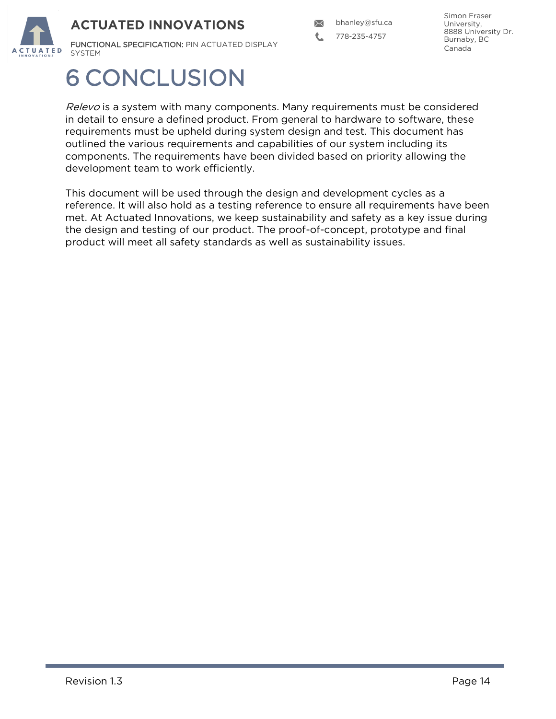

 $\boxtimes$ bhanley@sfu.ca

778-235-4757

Simon Fraser University, 8888 University Dr. Burnaby, BC Canada

## 6 CONCLUSION

Relevo is a system with many components. Many requirements must be considered in detail to ensure a defined product. From general to hardware to software, these requirements must be upheld during system design and test. This document has outlined the various requirements and capabilities of our system including its components. The requirements have been divided based on priority allowing the development team to work efficiently.

This document will be used through the design and development cycles as a reference. It will also hold as a testing reference to ensure all requirements have been met. At Actuated Innovations, we keep sustainability and safety as a key issue during the design and testing of our product. The proof-of-concept, prototype and final product will meet all safety standards as well as sustainability issues.